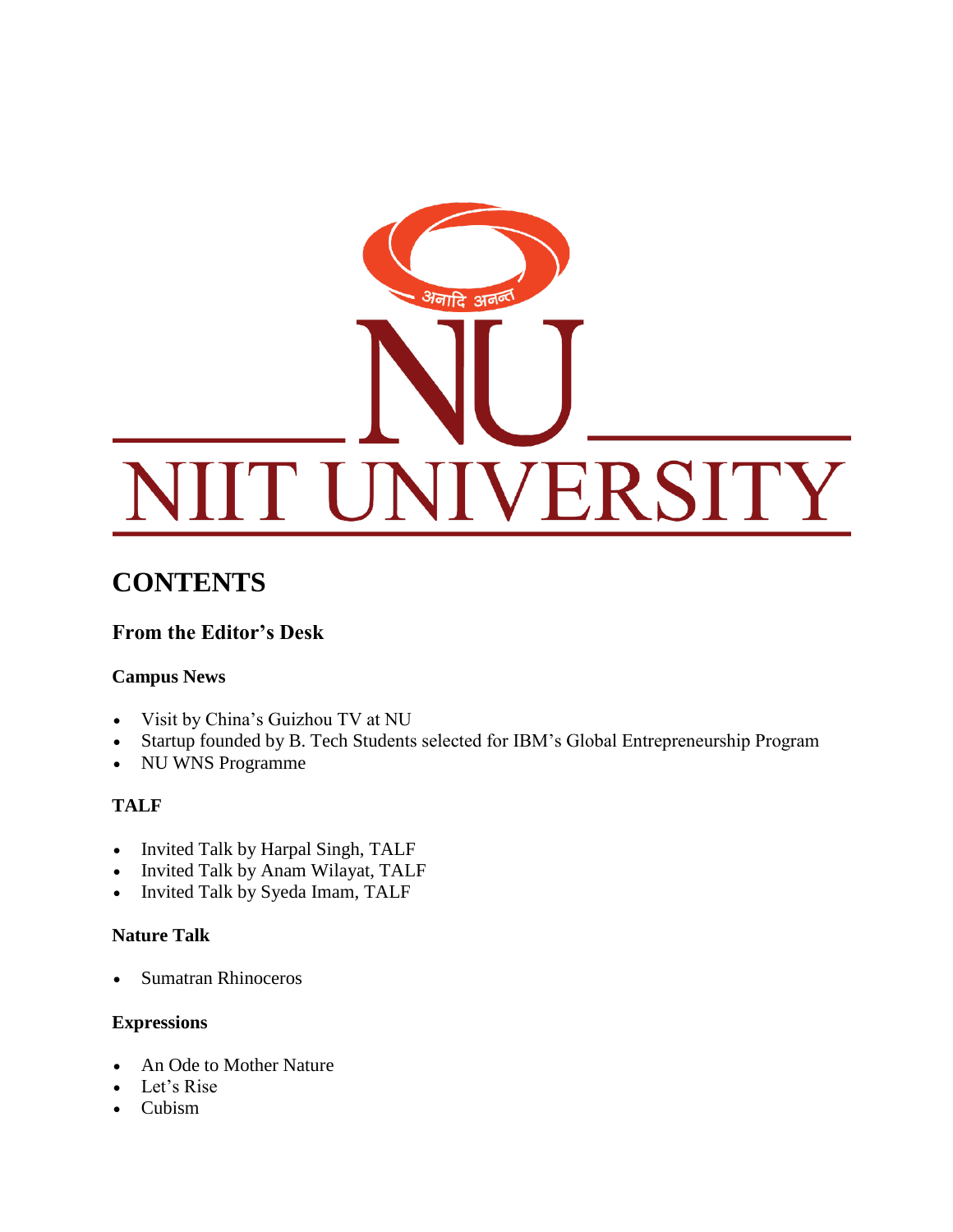

# **CONTENTS**

## **From the Editor's Desk**

### **Campus News**

- Visit by China's Guizhou TV at NU
- Startup founded by B. Tech Students selected for IBM's Global Entrepreneurship Program
- NU WNS Programme

### **TALF**

- Invited Talk by Harpal Singh, TALF
- Invited Talk by Anam Wilayat, TALF
- Invited Talk by Syeda Imam, TALF

### **Nature Talk**

Sumatran Rhinoceros

### **Expressions**

- An Ode to Mother Nature
- Let's Rise
- Cubism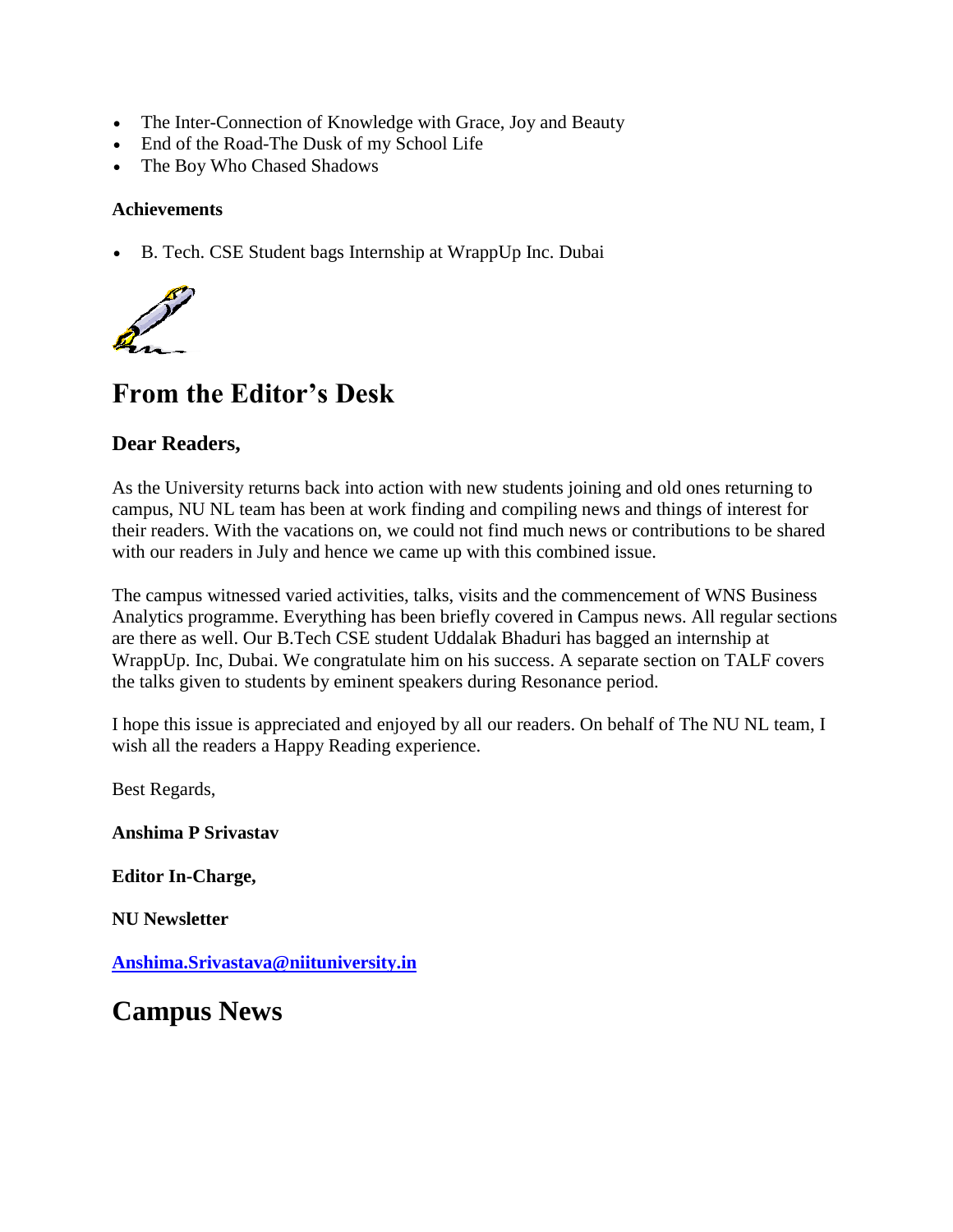- The Inter-Connection of Knowledge with Grace, Joy and Beauty
- End of the Road-The Dusk of my School Life
- The Boy Who Chased Shadows

### **Achievements**

B. Tech. CSE Student bags Internship at WrappUp Inc. Dubai



# **From the Editor's Desk**

### **Dear Readers,**

As the University returns back into action with new students joining and old ones returning to campus, NU NL team has been at work finding and compiling news and things of interest for their readers. With the vacations on, we could not find much news or contributions to be shared with our readers in July and hence we came up with this combined issue.

The campus witnessed varied activities, talks, visits and the commencement of WNS Business Analytics programme. Everything has been briefly covered in Campus news. All regular sections are there as well. Our B.Tech CSE student Uddalak Bhaduri has bagged an internship at WrappUp. Inc, Dubai. We congratulate him on his success. A separate section on TALF covers the talks given to students by eminent speakers during Resonance period.

I hope this issue is appreciated and enjoyed by all our readers. On behalf of The NU NL team, I wish all the readers a Happy Reading experience.

Best Regards,

**Anshima P Srivastav**

**Editor In-Charge,**

**NU Newsletter**

**[Anshima.Srivastava@niituniversity.in](mailto:anshima.srivastava@niituniversity.in)**

**Campus News**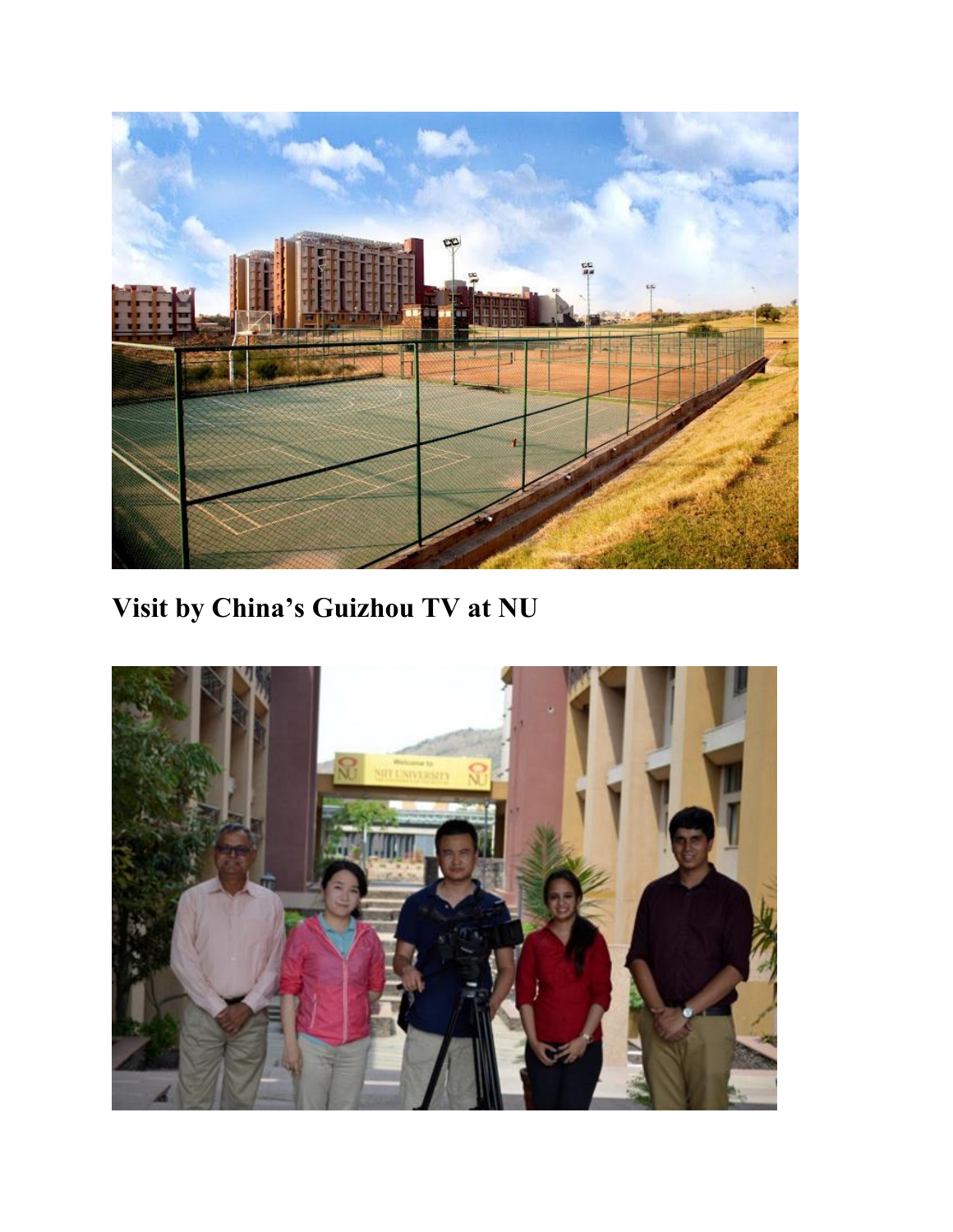

**Visit by China's Guizhou TV at NU**

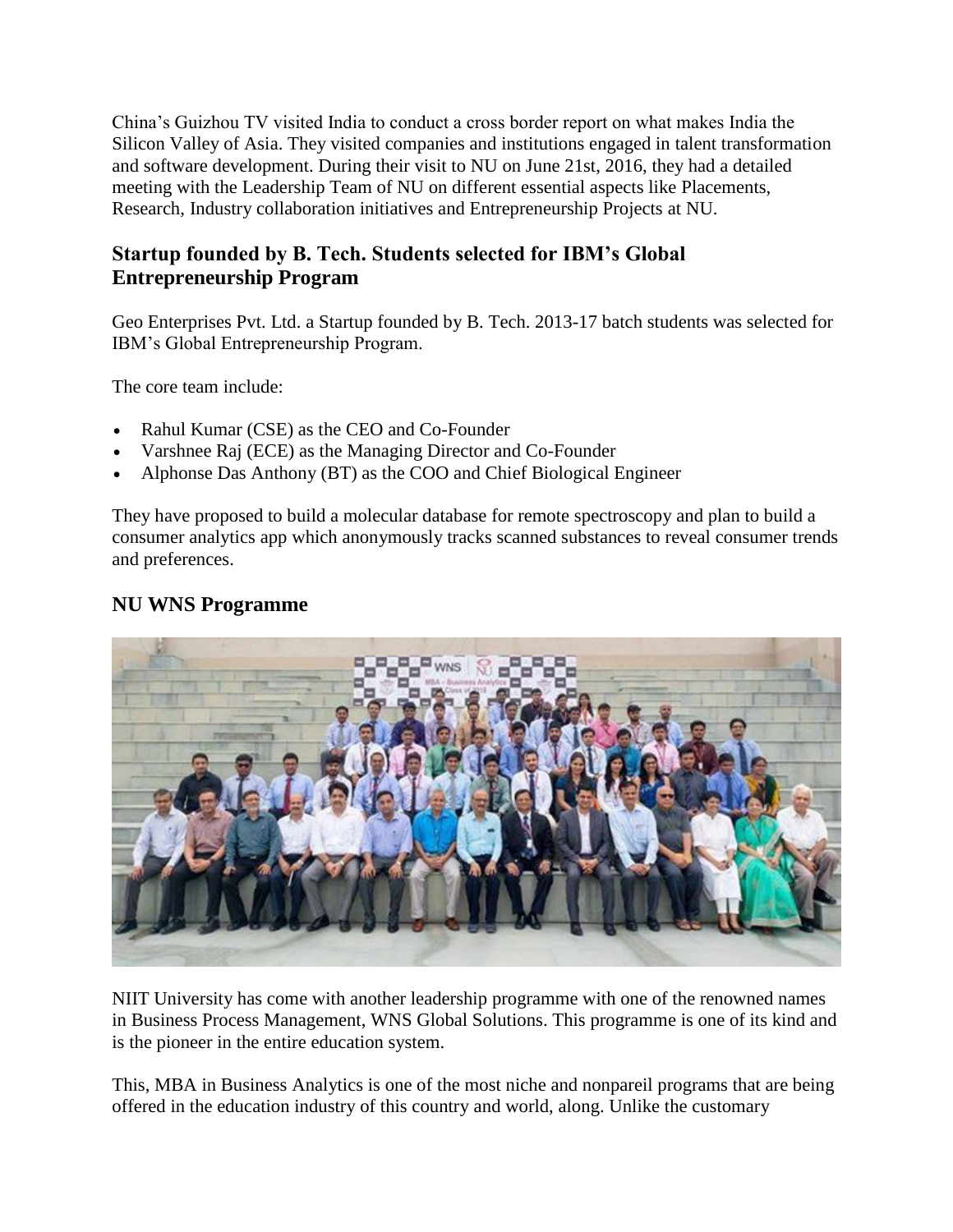China's Guizhou TV visited India to conduct a cross border report on what makes India the Silicon Valley of Asia. They visited companies and institutions engaged in talent transformation and software development. During their visit to NU on June 21st, 2016, they had a detailed meeting with the Leadership Team of NU on different essential aspects like Placements, Research, Industry collaboration initiatives and Entrepreneurship Projects at NU.

## **Startup founded by B. Tech. Students selected for IBM's Global Entrepreneurship Program**

Geo Enterprises Pvt. Ltd. a Startup founded by B. Tech. 2013-17 batch students was selected for IBM's Global Entrepreneurship Program.

The core team include:

- Rahul Kumar (CSE) as the CEO and Co-Founder
- Varshnee Raj (ECE) as the Managing Director and Co-Founder
- Alphonse Das Anthony (BT) as the COO and Chief Biological Engineer

They have proposed to build a molecular database for remote spectroscopy and plan to build a consumer analytics app which anonymously tracks scanned substances to reveal consumer trends and preferences.

### **NU WNS Programme**



NIIT University has come with another leadership programme with one of the renowned names in Business Process Management, WNS Global Solutions. This programme is one of its kind and is the pioneer in the entire education system.

This, MBA in Business Analytics is one of the most niche and nonpareil programs that are being offered in the education industry of this country and world, along. Unlike the customary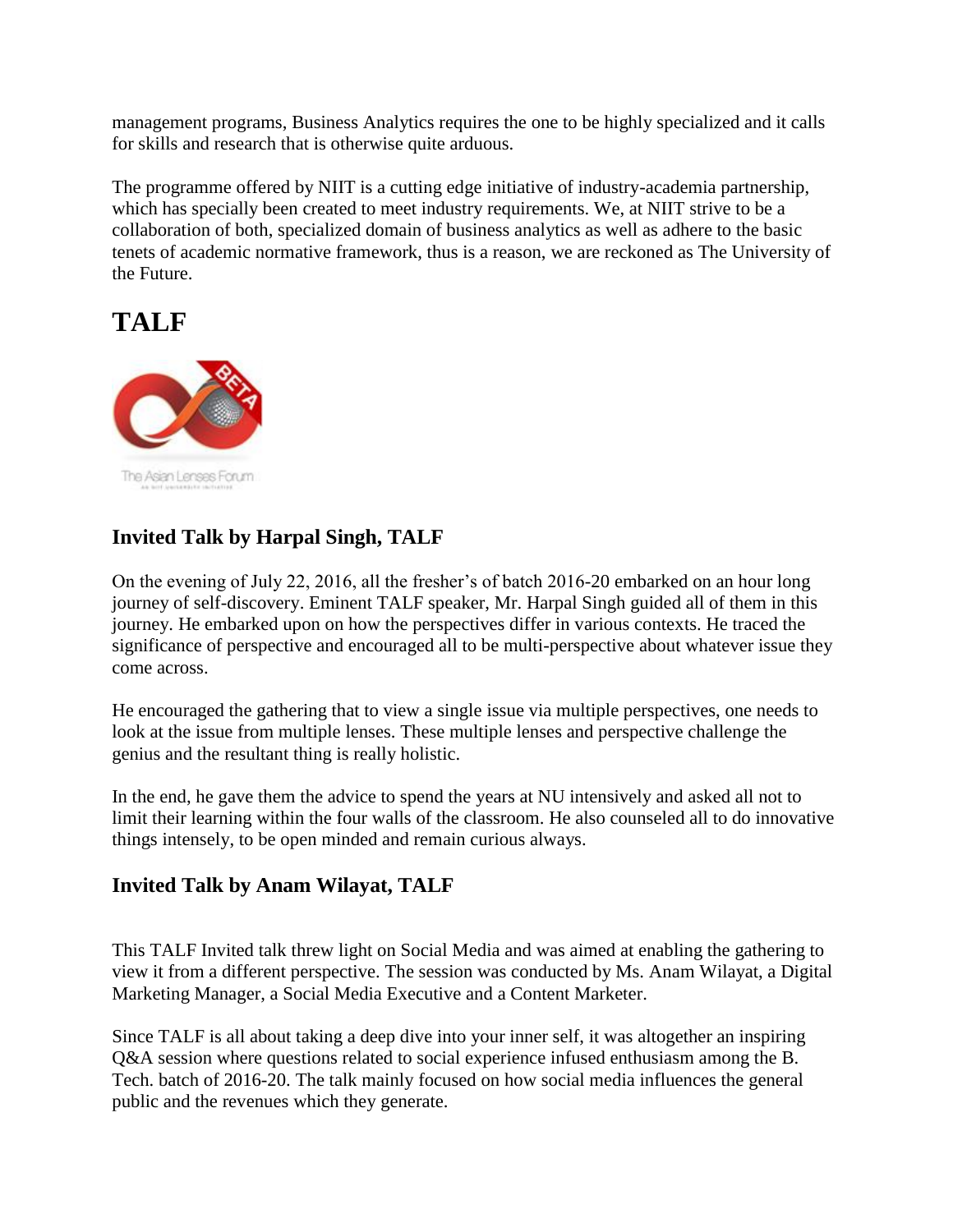management programs, Business Analytics requires the one to be highly specialized and it calls for skills and research that is otherwise quite arduous.

The programme offered by NIIT is a cutting edge initiative of industry-academia partnership, which has specially been created to meet industry requirements. We, at NIIT strive to be a collaboration of both, specialized domain of business analytics as well as adhere to the basic tenets of academic normative framework, thus is a reason, we are reckoned as The University of the Future.

# **TALF**



# **Invited Talk by Harpal Singh, TALF**

On the evening of July 22, 2016, all the fresher's of batch 2016-20 embarked on an hour long journey of self-discovery. Eminent TALF speaker, Mr. Harpal Singh guided all of them in this journey. He embarked upon on how the perspectives differ in various contexts. He traced the significance of perspective and encouraged all to be multi-perspective about whatever issue they come across.

He encouraged the gathering that to view a single issue via multiple perspectives, one needs to look at the issue from multiple lenses. These multiple lenses and perspective challenge the genius and the resultant thing is really holistic.

In the end, he gave them the advice to spend the years at NU intensively and asked all not to limit their learning within the four walls of the classroom. He also counseled all to do innovative things intensely, to be open minded and remain curious always.

## **Invited Talk by Anam Wilayat, TALF**

This TALF Invited talk threw light on Social Media and was aimed at enabling the gathering to view it from a different perspective. The session was conducted by Ms. Anam Wilayat, a Digital Marketing Manager, a Social Media Executive and a Content Marketer.

Since TALF is all about taking a deep dive into your inner self, it was altogether an inspiring Q&A session where questions related to social experience infused enthusiasm among the B. Tech. batch of 2016-20. The talk mainly focused on how social media influences the general public and the revenues which they generate.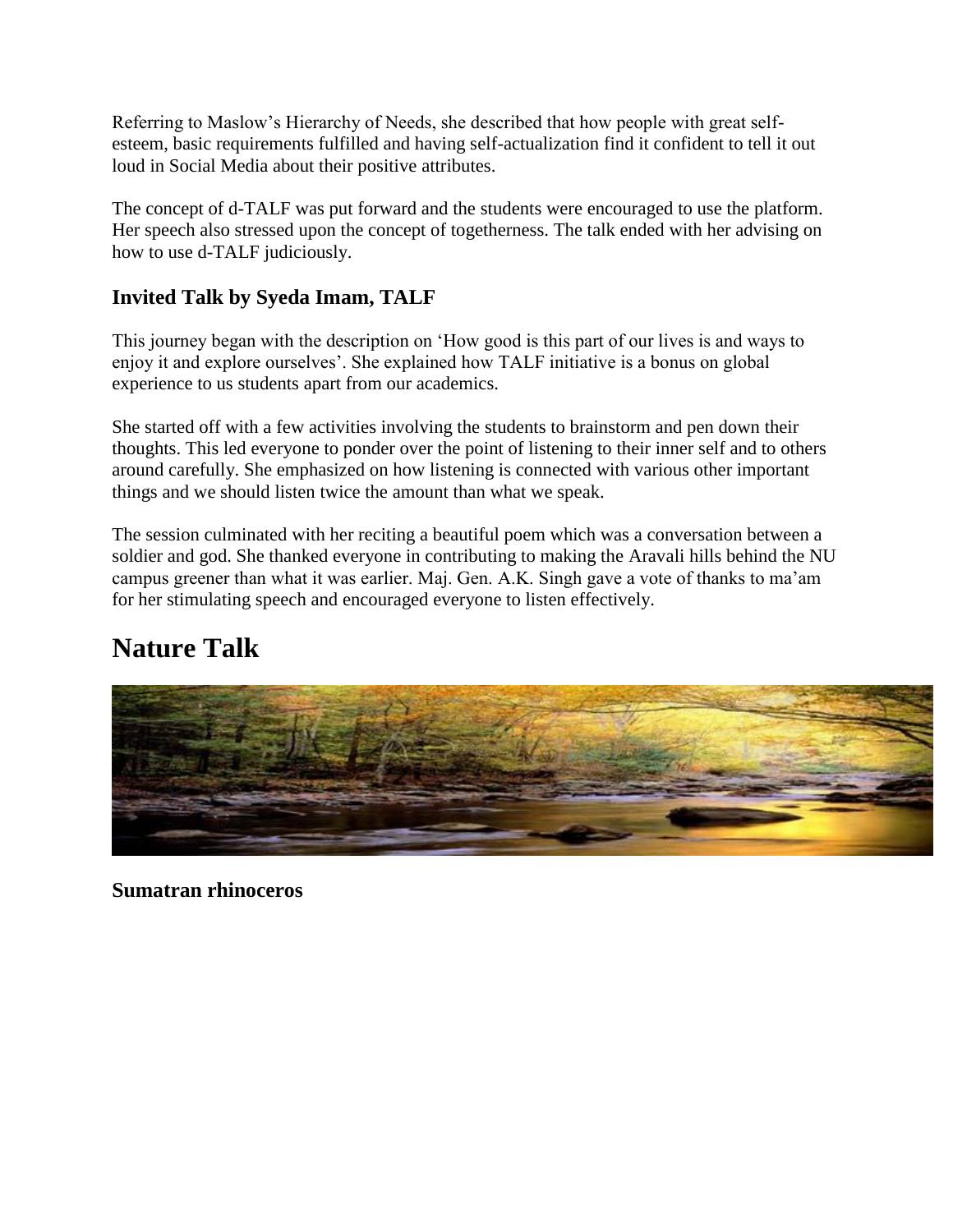Referring to Maslow's Hierarchy of Needs, she described that how people with great selfesteem, basic requirements fulfilled and having self-actualization find it confident to tell it out loud in Social Media about their positive attributes.

The concept of d-TALF was put forward and the students were encouraged to use the platform. Her speech also stressed upon the concept of togetherness. The talk ended with her advising on how to use d-TALF judiciously.

## **Invited Talk by Syeda Imam, TALF**

This journey began with the description on 'How good is this part of our lives is and ways to enjoy it and explore ourselves'. She explained how TALF initiative is a bonus on global experience to us students apart from our academics.

She started off with a few activities involving the students to brainstorm and pen down their thoughts. This led everyone to ponder over the point of listening to their inner self and to others around carefully. She emphasized on how listening is connected with various other important things and we should listen twice the amount than what we speak.

The session culminated with her reciting a beautiful poem which was a conversation between a soldier and god. She thanked everyone in contributing to making the Aravali hills behind the NU campus greener than what it was earlier. Maj. Gen. A.K. Singh gave a vote of thanks to ma'am for her stimulating speech and encouraged everyone to listen effectively.

# **Nature Talk**



**Sumatran rhinoceros**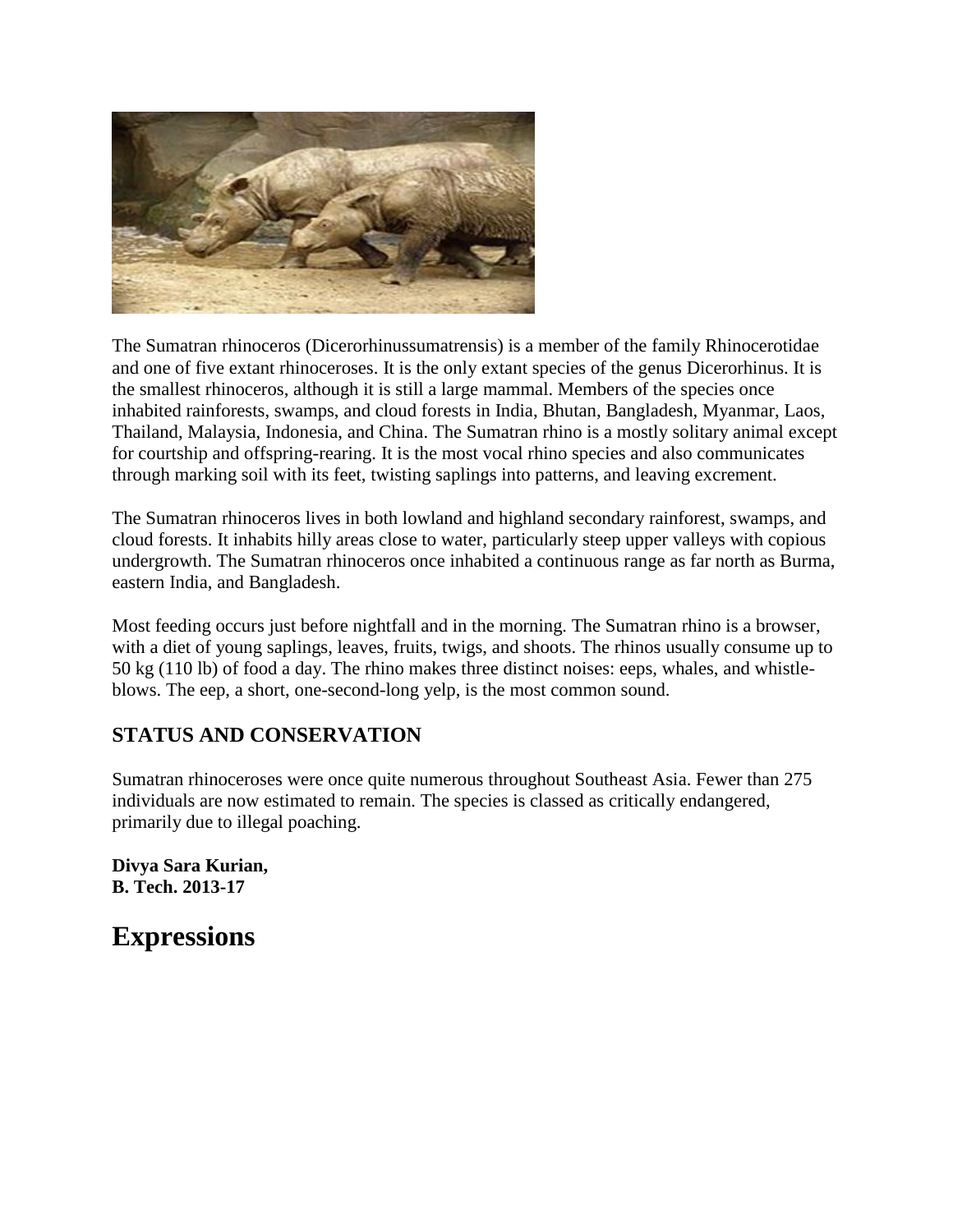

The Sumatran rhinoceros (Dicerorhinussumatrensis) is a member of the family Rhinocerotidae and one of five extant rhinoceroses. It is the only extant species of the genus Dicerorhinus. It is the smallest rhinoceros, although it is still a large mammal. Members of the species once inhabited rainforests, swamps, and cloud forests in India, Bhutan, Bangladesh, Myanmar, Laos, Thailand, Malaysia, Indonesia, and China. The Sumatran rhino is a mostly solitary animal except for courtship and offspring-rearing. It is the most vocal rhino species and also communicates through marking soil with its feet, twisting saplings into patterns, and leaving excrement.

The Sumatran rhinoceros lives in both lowland and highland secondary rainforest, swamps, and cloud forests. It inhabits hilly areas close to water, particularly steep upper valleys with copious undergrowth. The Sumatran rhinoceros once inhabited a continuous range as far north as Burma, eastern India, and Bangladesh.

Most feeding occurs just before nightfall and in the morning. The Sumatran rhino is a browser, with a diet of young saplings, leaves, fruits, twigs, and shoots. The rhinos usually consume up to 50 kg (110 lb) of food a day. The rhino makes three distinct noises: eeps, whales, and whistleblows. The eep, a short, one-second-long yelp, is the most common sound.

## **STATUS AND CONSERVATION**

Sumatran rhinoceroses were once quite numerous throughout Southeast Asia. Fewer than 275 individuals are now estimated to remain. The species is classed as critically endangered, primarily due to illegal poaching.

**Divya Sara Kurian, B. Tech. 2013-17**

**Expressions**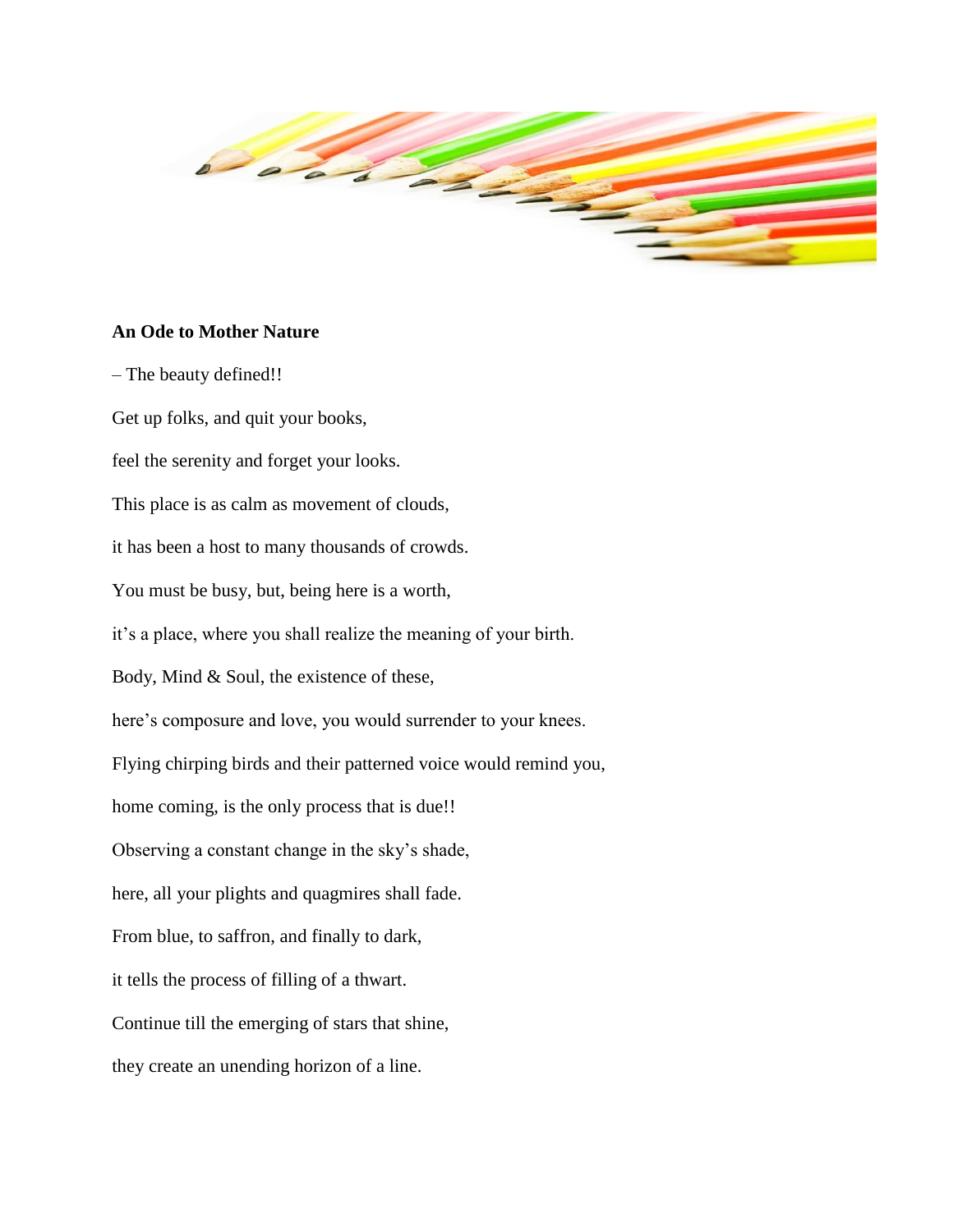

### **An Ode to Mother Nature**

– The beauty defined!! Get up folks, and quit your books, feel the serenity and forget your looks. This place is as calm as movement of clouds, it has been a host to many thousands of crowds. You must be busy, but, being here is a worth, it's a place, where you shall realize the meaning of your birth. Body, Mind & Soul, the existence of these, here's composure and love, you would surrender to your knees. Flying chirping birds and their patterned voice would remind you, home coming, is the only process that is due!! Observing a constant change in the sky's shade, here, all your plights and quagmires shall fade. From blue, to saffron, and finally to dark, it tells the process of filling of a thwart. Continue till the emerging of stars that shine, they create an unending horizon of a line.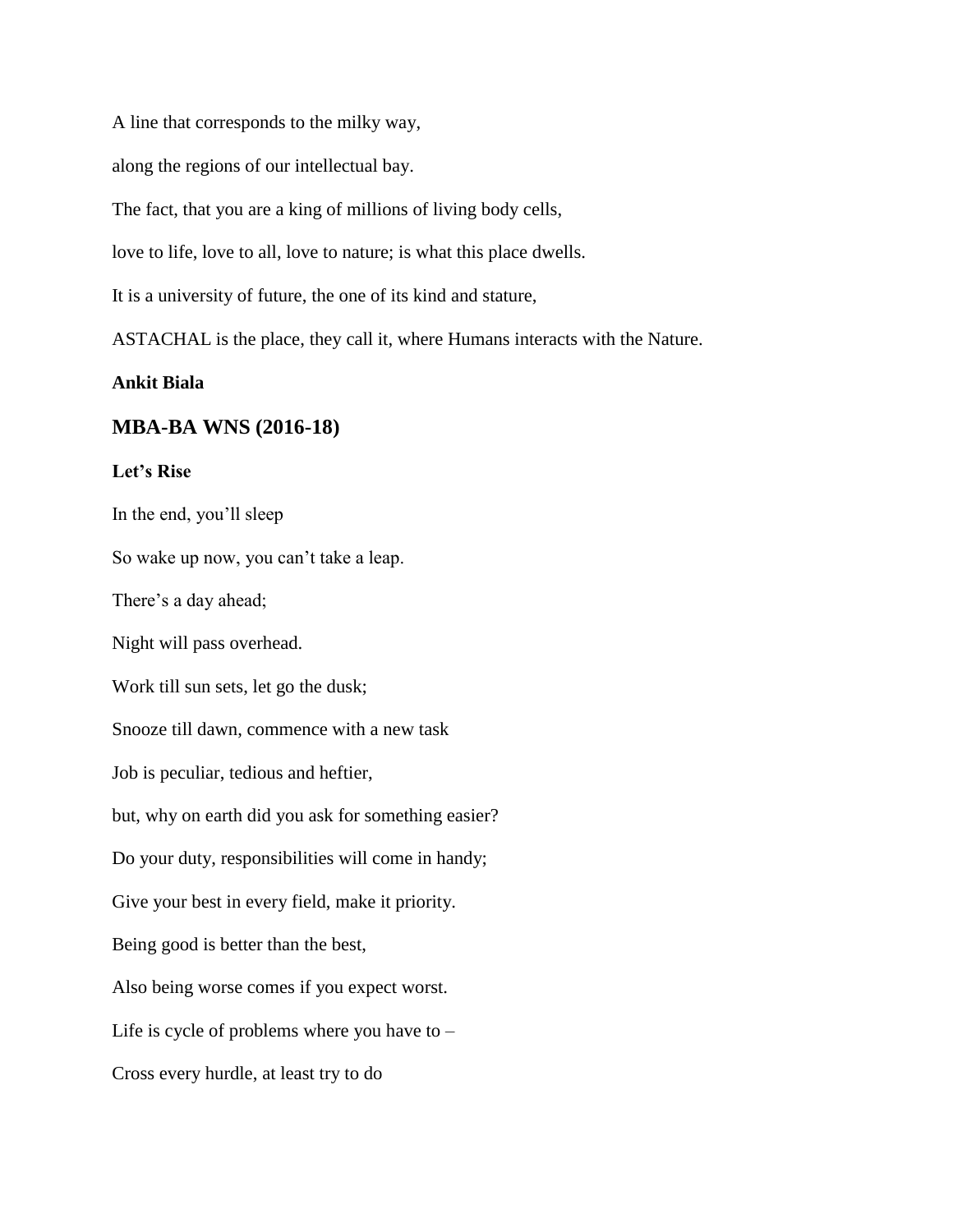A line that corresponds to the milky way,

along the regions of our intellectual bay.

The fact, that you are a king of millions of living body cells,

love to life, love to all, love to nature; is what this place dwells.

It is a university of future, the one of its kind and stature,

ASTACHAL is the place, they call it, where Humans interacts with the Nature.

#### **Ankit Biala**

#### **MBA-BA WNS (2016-18)**

### **Let's Rise**

In the end, you'll sleep

So wake up now, you can't take a leap.

There's a day ahead;

Night will pass overhead.

Work till sun sets, let go the dusk;

Snooze till dawn, commence with a new task

Job is peculiar, tedious and heftier,

but, why on earth did you ask for something easier?

Do your duty, responsibilities will come in handy;

Give your best in every field, make it priority.

Being good is better than the best,

Also being worse comes if you expect worst.

Life is cycle of problems where you have to –

Cross every hurdle, at least try to do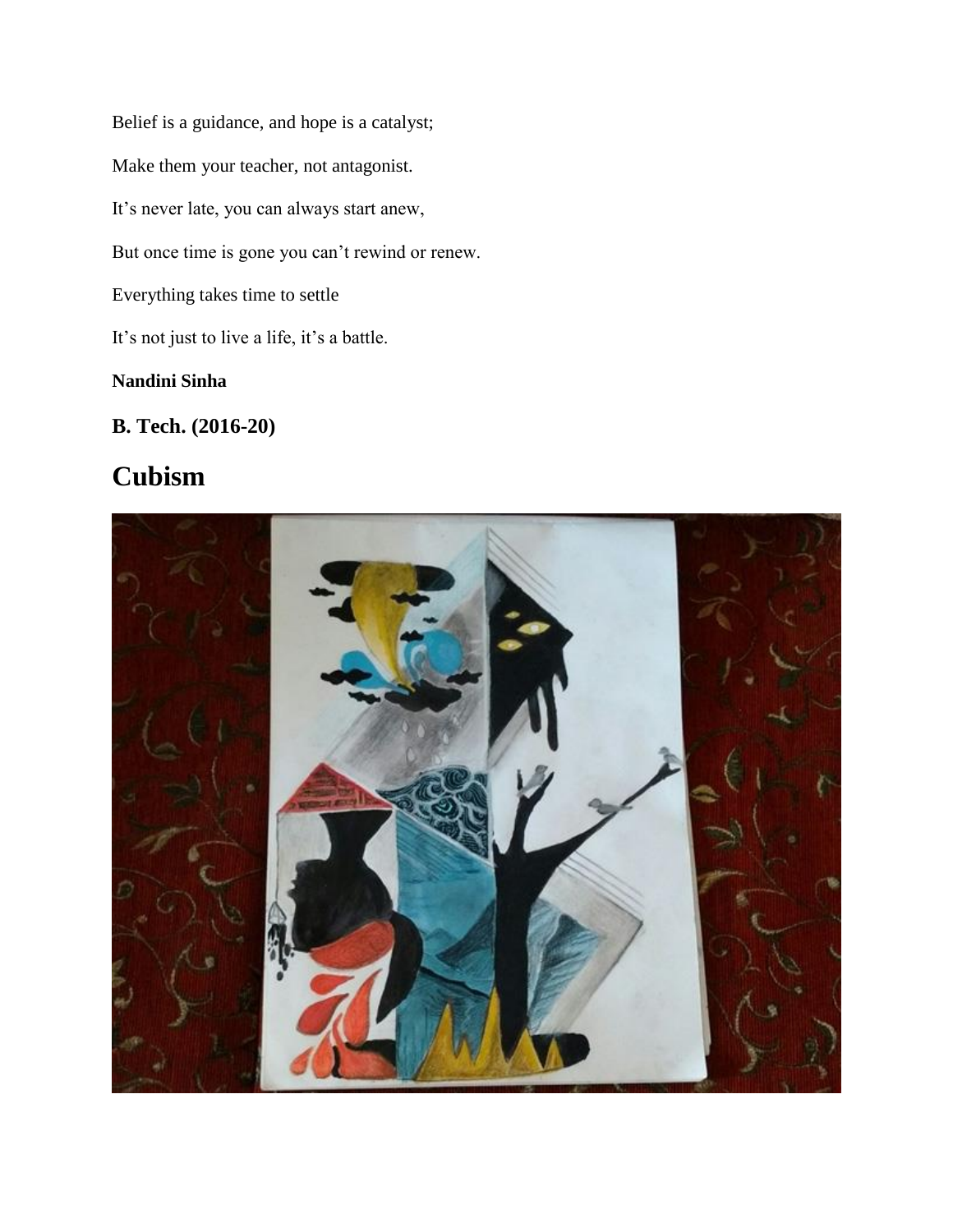Belief is a guidance, and hope is a catalyst; Make them your teacher, not antagonist. It's never late, you can always start anew, But once time is gone you can't rewind or renew. Everything takes time to settle It's not just to live a life, it's a battle.

## **Nandini Sinha**

# **B. Tech. (2016-20)**

# **Cubism**

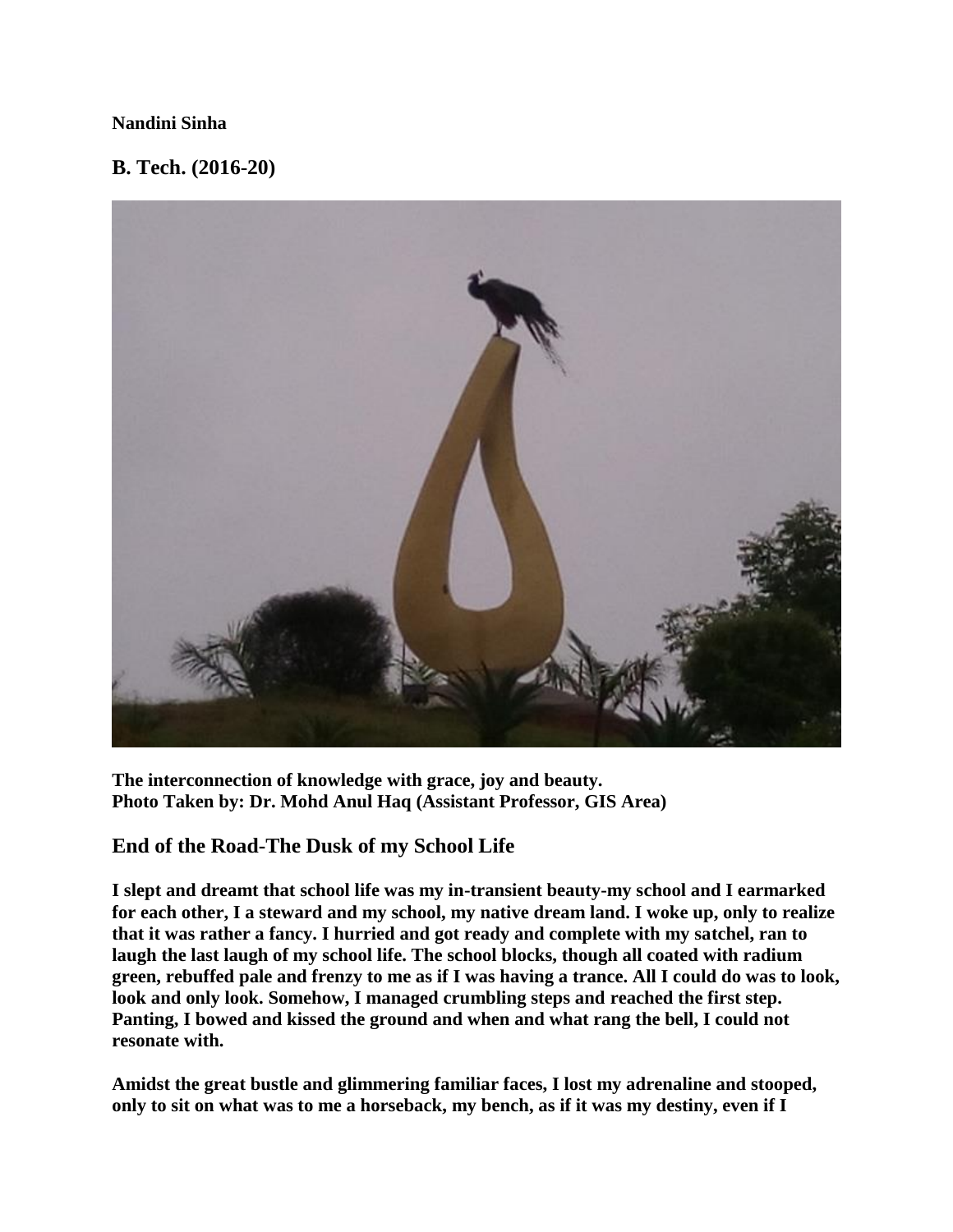### **Nandini Sinha**

### **B. Tech. (2016-20)**



**The interconnection of knowledge with grace, joy and beauty. Photo Taken by: Dr. Mohd Anul Haq (Assistant Professor, GIS Area)**

### **End of the Road-The Dusk of my School Life**

**I slept and dreamt that school life was my in-transient beauty-my school and I earmarked for each other, I a steward and my school, my native dream land. I woke up, only to realize that it was rather a fancy. I hurried and got ready and complete with my satchel, ran to laugh the last laugh of my school life. The school blocks, though all coated with radium green, rebuffed pale and frenzy to me as if I was having a trance. All I could do was to look, look and only look. Somehow, I managed crumbling steps and reached the first step. Panting, I bowed and kissed the ground and when and what rang the bell, I could not resonate with.**

**Amidst the great bustle and glimmering familiar faces, I lost my adrenaline and stooped, only to sit on what was to me a horseback, my bench, as if it was my destiny, even if I**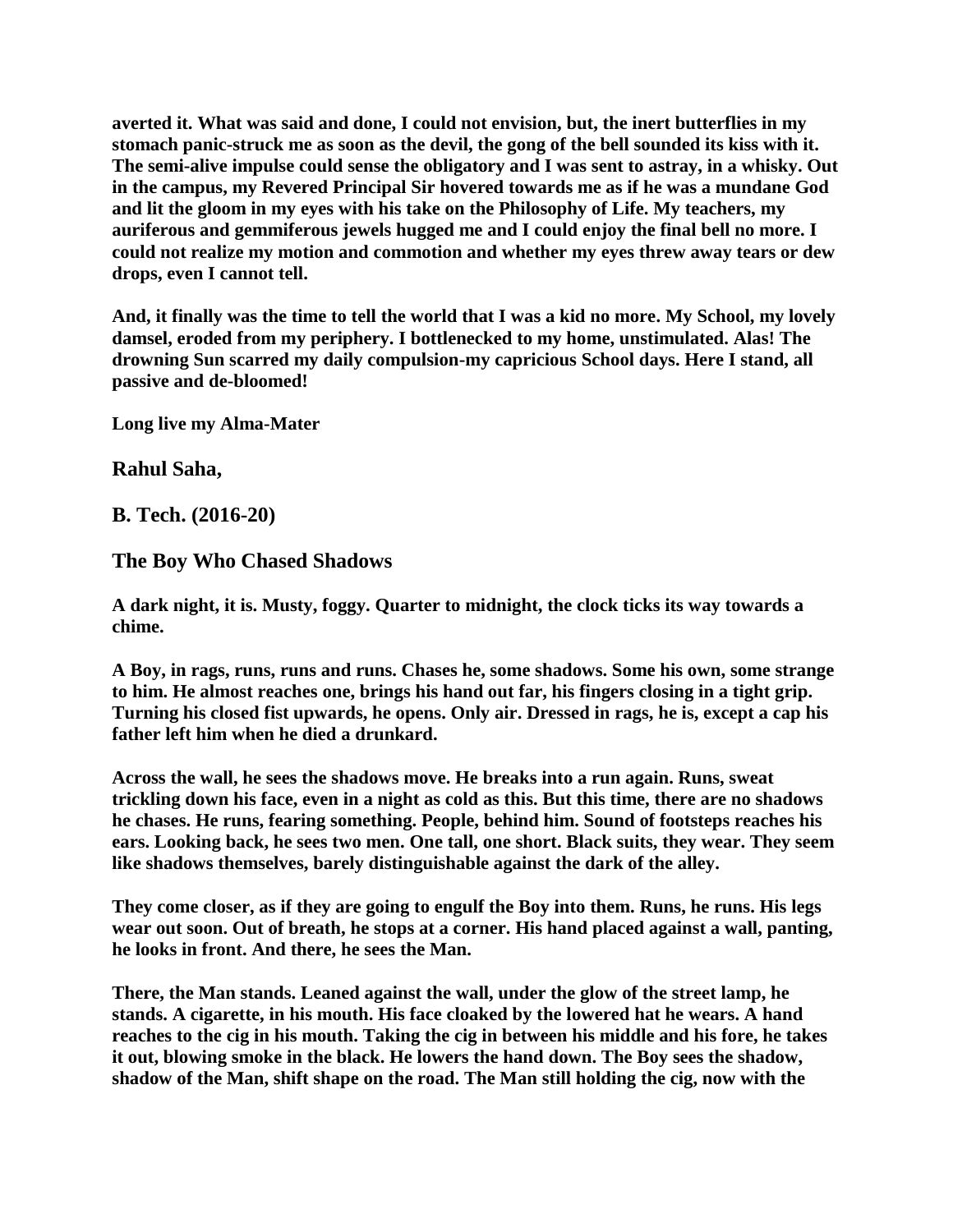**averted it. What was said and done, I could not envision, but, the inert butterflies in my stomach panic-struck me as soon as the devil, the gong of the bell sounded its kiss with it. The semi-alive impulse could sense the obligatory and I was sent to astray, in a whisky. Out in the campus, my Revered Principal Sir hovered towards me as if he was a mundane God and lit the gloom in my eyes with his take on the Philosophy of Life. My teachers, my auriferous and gemmiferous jewels hugged me and I could enjoy the final bell no more. I could not realize my motion and commotion and whether my eyes threw away tears or dew drops, even I cannot tell.**

**And, it finally was the time to tell the world that I was a kid no more. My School, my lovely damsel, eroded from my periphery. I bottlenecked to my home, unstimulated. Alas! The drowning Sun scarred my daily compulsion-my capricious School days. Here I stand, all passive and de-bloomed!**

**Long live my Alma-Mater**

**Rahul Saha,**

**B. Tech. (2016-20)**

**The Boy Who Chased Shadows**

**A dark night, it is. Musty, foggy. Quarter to midnight, the clock ticks its way towards a chime.**

**A Boy, in rags, runs, runs and runs. Chases he, some shadows. Some his own, some strange to him. He almost reaches one, brings his hand out far, his fingers closing in a tight grip. Turning his closed fist upwards, he opens. Only air. Dressed in rags, he is, except a cap his father left him when he died a drunkard.**

**Across the wall, he sees the shadows move. He breaks into a run again. Runs, sweat trickling down his face, even in a night as cold as this. But this time, there are no shadows he chases. He runs, fearing something. People, behind him. Sound of footsteps reaches his ears. Looking back, he sees two men. One tall, one short. Black suits, they wear. They seem like shadows themselves, barely distinguishable against the dark of the alley.**

**They come closer, as if they are going to engulf the Boy into them. Runs, he runs. His legs wear out soon. Out of breath, he stops at a corner. His hand placed against a wall, panting, he looks in front. And there, he sees the Man.**

**There, the Man stands. Leaned against the wall, under the glow of the street lamp, he stands. A cigarette, in his mouth. His face cloaked by the lowered hat he wears. A hand reaches to the cig in his mouth. Taking the cig in between his middle and his fore, he takes it out, blowing smoke in the black. He lowers the hand down. The Boy sees the shadow, shadow of the Man, shift shape on the road. The Man still holding the cig, now with the**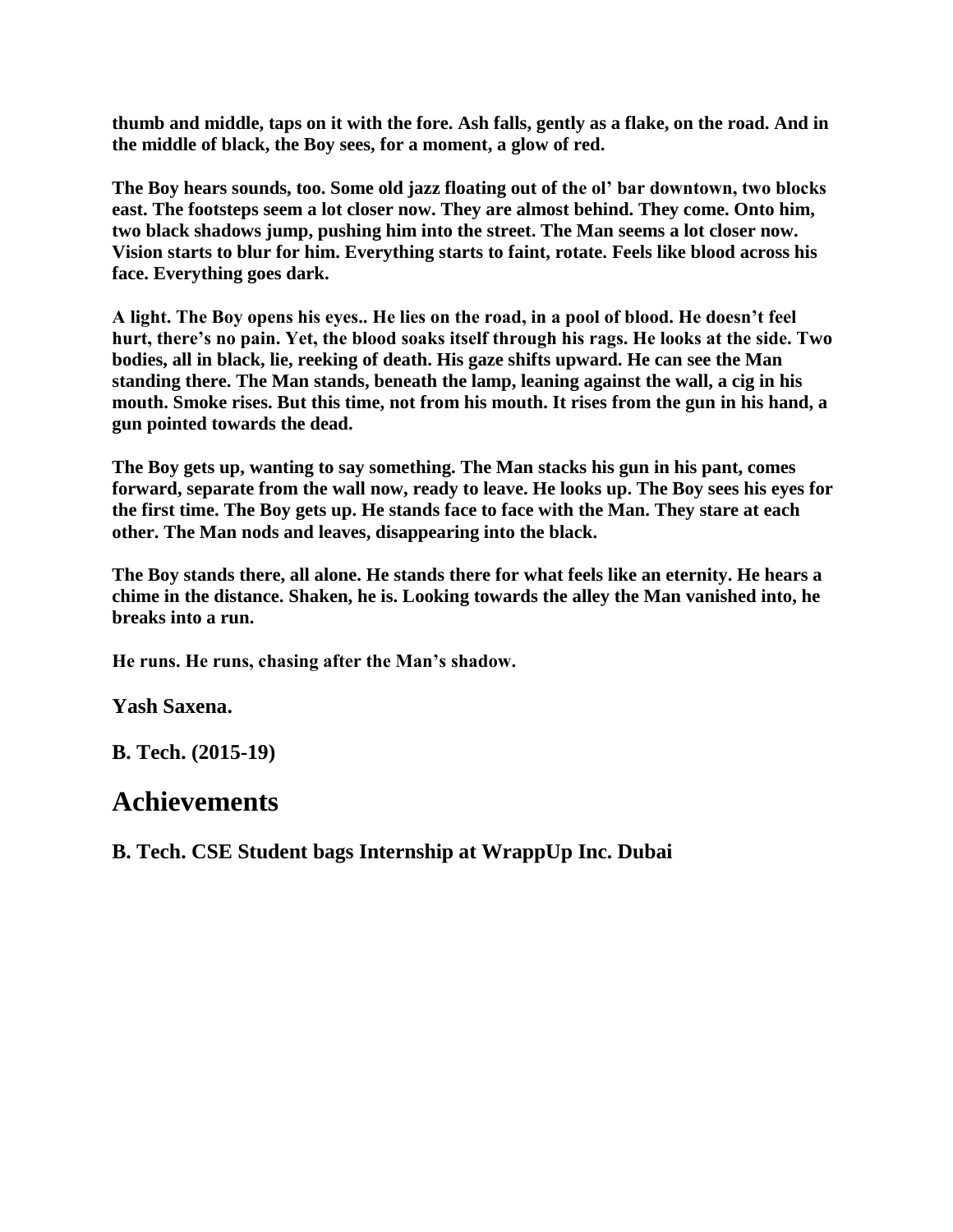**thumb and middle, taps on it with the fore. Ash falls, gently as a flake, on the road. And in the middle of black, the Boy sees, for a moment, a glow of red.**

**The Boy hears sounds, too. Some old jazz floating out of the ol' bar downtown, two blocks east. The footsteps seem a lot closer now. They are almost behind. They come. Onto him, two black shadows jump, pushing him into the street. The Man seems a lot closer now. Vision starts to blur for him. Everything starts to faint, rotate. Feels like blood across his face. Everything goes dark.**

**A light. The Boy opens his eyes.. He lies on the road, in a pool of blood. He doesn't feel hurt, there's no pain. Yet, the blood soaks itself through his rags. He looks at the side. Two bodies, all in black, lie, reeking of death. His gaze shifts upward. He can see the Man standing there. The Man stands, beneath the lamp, leaning against the wall, a cig in his mouth. Smoke rises. But this time, not from his mouth. It rises from the gun in his hand, a gun pointed towards the dead.**

**The Boy gets up, wanting to say something. The Man stacks his gun in his pant, comes forward, separate from the wall now, ready to leave. He looks up. The Boy sees his eyes for the first time. The Boy gets up. He stands face to face with the Man. They stare at each other. The Man nods and leaves, disappearing into the black.**

**The Boy stands there, all alone. He stands there for what feels like an eternity. He hears a chime in the distance. Shaken, he is. Looking towards the alley the Man vanished into, he breaks into a run.**

**He runs. He runs, chasing after the Man's shadow.**

**Yash Saxena.**

**B. Tech. (2015-19)**

# **Achievements**

**B. Tech. CSE Student bags Internship at WrappUp Inc. Dubai**